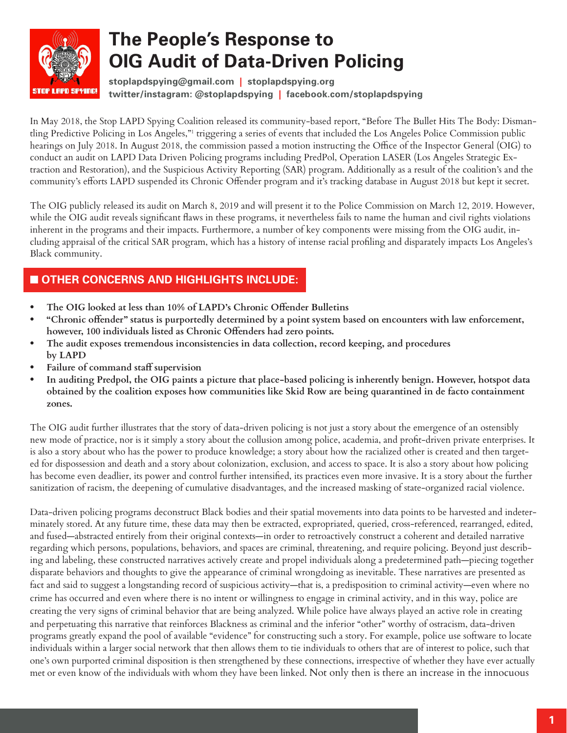

# **The People's Response to OIG Audit of Data-Driven Policing**

**stoplapdspying@gmail.com | stoplapdspying.org twitter/instagram: @stoplapdspying | facebook.com/stoplapdspying**

In May 2018, the Stop LAPD Spying Coalition released its community-based report, "Before The Bullet Hits The Body: Dismantling Predictive Policing in Los Angeles,"1 triggering a series of events that included the Los Angeles Police Commission public hearings on July 2018. In August 2018, the commission passed a motion instructing the Office of the Inspector General (OIG) to conduct an audit on LAPD Data Driven Policing programs including PredPol, Operation LASER (Los Angeles Strategic Extraction and Restoration), and the Suspicious Activity Reporting (SAR) program. Additionally as a result of the coalition's and the community's efforts LAPD suspended its Chronic Offender program and it's tracking database in August 2018 but kept it secret.

The OIG publicly released its audit on March 8, 2019 and will present it to the Police Commission on March 12, 2019. However, while the OIG audit reveals significant flaws in these programs, it nevertheless fails to name the human and civil rights violations inherent in the programs and their impacts. Furthermore, a number of key components were missing from the OIG audit, including appraisal of the critical SAR program, which has a history of intense racial profiling and disparately impacts Los Angeles's Black community.

# $\blacksquare$  **OTHER CONCERNS AND HIGHLIGHTS INCLUDE:**

- **• The OIG looked at less than 10% of LAPD's Chronic Offender Bulletins**
- **• "Chronic offender" status is purportedly determined by a point system based on encounters with law enforcement, however, 100 individuals listed as Chronic Offenders had zero points.**
- **• The audit exposes tremendous inconsistencies in data collection, record keeping, and procedures by LAPD**
- **• Failure of command staff supervision**
- **• In auditing Predpol, the OIG paints a picture that place-based policing is inherently benign. However, hotspot data obtained by the coalition exposes how communities like Skid Row are being quarantined in de facto containment zones.**

The OIG audit further illustrates that the story of data-driven policing is not just a story about the emergence of an ostensibly new mode of practice, nor is it simply a story about the collusion among police, academia, and profit-driven private enterprises. It is also a story about who has the power to produce knowledge; a story about how the racialized other is created and then targeted for dispossession and death and a story about colonization, exclusion, and access to space. It is also a story about how policing has become even deadlier, its power and control further intensified, its practices even more invasive. It is a story about the further sanitization of racism, the deepening of cumulative disadvantages, and the increased masking of state-organized racial violence.

Data-driven policing programs deconstruct Black bodies and their spatial movements into data points to be harvested and indeterminately stored. At any future time, these data may then be extracted, expropriated, queried, cross-referenced, rearranged, edited, and fused—abstracted entirely from their original contexts—in order to retroactively construct a coherent and detailed narrative regarding which persons, populations, behaviors, and spaces are criminal, threatening, and require policing. Beyond just describing and labeling, these constructed narratives actively create and propel individuals along a predetermined path—piecing together disparate behaviors and thoughts to give the appearance of criminal wrongdoing as inevitable. These narratives are presented as fact and said to suggest a longstanding record of suspicious activity—that is, a predisposition to criminal activity—even where no crime has occurred and even where there is no intent or willingness to engage in criminal activity, and in this way, police are creating the very signs of criminal behavior that are being analyzed. While police have always played an active role in creating and perpetuating this narrative that reinforces Blackness as criminal and the inferior "other" worthy of ostracism, data-driven programs greatly expand the pool of available "evidence" for constructing such a story. For example, police use software to locate individuals within a larger social network that then allows them to tie individuals to others that are of interest to police, such that one's own purported criminal disposition is then strengthened by these connections, irrespective of whether they have ever actually met or even know of the individuals with whom they have been linked. Not only then is there an increase in the innocuous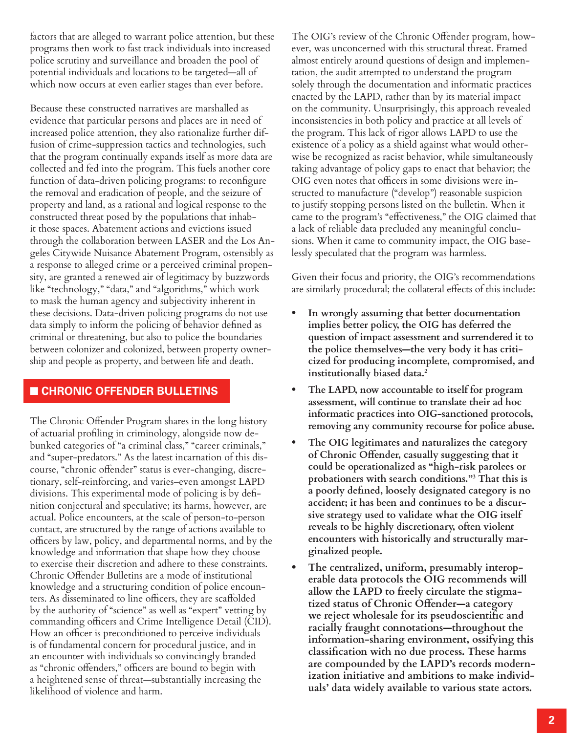factors that are alleged to warrant police attention, but these programs then work to fast track individuals into increased police scrutiny and surveillance and broaden the pool of potential individuals and locations to be targeted—all of which now occurs at even earlier stages than ever before.

Because these constructed narratives are marshalled as evidence that particular persons and places are in need of increased police attention, they also rationalize further diffusion of crime-suppression tactics and technologies, such that the program continually expands itself as more data are collected and fed into the program. This fuels another core function of data-driven policing programs: to reconfigure the removal and eradication of people, and the seizure of property and land, as a rational and logical response to the constructed threat posed by the populations that inhabit those spaces. Abatement actions and evictions issued through the collaboration between LASER and the Los Angeles Citywide Nuisance Abatement Program, ostensibly as a response to alleged crime or a perceived criminal propensity, are granted a renewed air of legitimacy by buzzwords like "technology," "data," and "algorithms," which work to mask the human agency and subjectivity inherent in these decisions. Data-driven policing programs do not use data simply to inform the policing of behavior defined as criminal or threatening, but also to police the boundaries between colonizer and colonized, between property ownership and people as property, and between life and death.

### $\blacksquare$  **CHRONIC OFFENDER BULLETINS**

The Chronic Offender Program shares in the long history of actuarial profiling in criminology, alongside now debunked categories of "a criminal class," "career criminals," and "super-predators." As the latest incarnation of this discourse, "chronic offender" status is ever-changing, discretionary, self-reinforcing, and varies–even amongst LAPD divisions. This experimental mode of policing is by definition conjectural and speculative; its harms, however, are actual. Police encounters, at the scale of person-to-person contact, are structured by the range of actions available to officers by law, policy, and departmental norms, and by the knowledge and information that shape how they choose to exercise their discretion and adhere to these constraints. Chronic Offender Bulletins are a mode of institutional knowledge and a structuring condition of police encounters. As disseminated to line officers, they are scaffolded by the authority of "science" as well as "expert" vetting by commanding officers and Crime Intelligence Detail (CID). How an officer is preconditioned to perceive individuals is of fundamental concern for procedural justice, and in an encounter with individuals so convincingly branded as "chronic offenders," officers are bound to begin with a heightened sense of threat—substantially increasing the likelihood of violence and harm.

The OIG's review of the Chronic Offender program, however, was unconcerned with this structural threat. Framed almost entirely around questions of design and implementation, the audit attempted to understand the program solely through the documentation and informatic practices enacted by the LAPD, rather than by its material impact on the community. Unsurprisingly, this approach revealed inconsistencies in both policy and practice at all levels of the program. This lack of rigor allows LAPD to use the existence of a policy as a shield against what would otherwise be recognized as racist behavior, while simultaneously taking advantage of policy gaps to enact that behavior; the OIG even notes that officers in some divisions were instructed to manufacture ("develop") reasonable suspicion to justify stopping persons listed on the bulletin. When it came to the program's "effectiveness," the OIG claimed that a lack of reliable data precluded any meaningful conclusions. When it came to community impact, the OIG baselessly speculated that the program was harmless.

Given their focus and priority, the OIG's recommendations are similarly procedural; the collateral effects of this include:

- **• In wrongly assuming that better documentation implies better policy, the OIG has deferred the question of impact assessment and surrendered it to the police themselves—the very body it has criticized for producing incomplete, compromised, and institutionally biased data.<sup>2</sup>**
- **• The LAPD, now accountable to itself for program assessment, will continue to translate their ad hoc informatic practices into OIG-sanctioned protocols, removing any community recourse for police abuse.**
- **• The OIG legitimates and naturalizes the category of Chronic Offender, casually suggesting that it could be operationalized as "high-risk parolees or probationers with search conditions."<sup>3</sup> That this is a poorly defined, loosely designated category is no accident; it has been and continues to be a discursive strategy used to validate what the OIG itself reveals to be highly discretionary, often violent encounters with historically and structurally marginalized people.**
- **• The centralized, uniform, presumably interoperable data protocols the OIG recommends will allow the LAPD to freely circulate the stigmatized status of Chronic Offender—a category we reject wholesale for its pseudoscientific and racially fraught connotations—throughout the information-sharing environment, ossifying this classification with no due process. These harms are compounded by the LAPD's records modernization initiative and ambitions to make individuals' data widely available to various state actors.**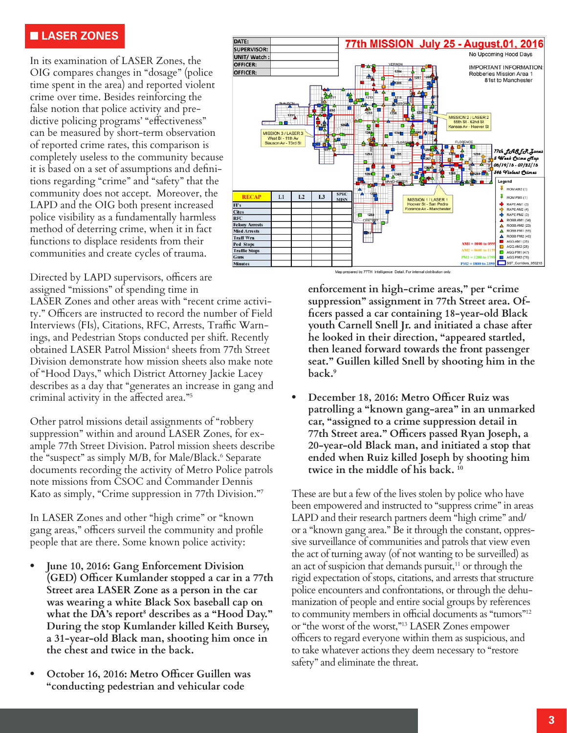#### n **LASER ZONES**

In its examination of LASER Zones, the OIG compares changes in "dosage" (police time spent in the area) and reported violent crime over time. Besides reinforcing the false notion that police activity and predictive policing programs' "effectiveness" can be measured by short-term observation of reported crime rates, this comparison is completely useless to the community because it is based on a set of assumptions and definitions regarding "crime" and "safety" that the community does not accept. Moreover, the LAPD and the OIG both present increased police visibility as a fundamentally harmless method of deterring crime, when it in fact functions to displace residents from their communities and create cycles of trauma.

Directed by LAPD supervisors, officers are assigned "missions" of spending time in

LASER Zones and other areas with "recent crime activity." Officers are instructed to record the number of Field Interviews (FIs), Citations, RFC, Arrests, Traffic Warnings, and Pedestrian Stops conducted per shift. Recently obtained LASER Patrol Mission<sup>4</sup> sheets from 77th Street Division demonstrate how mission sheets also make note of "Hood Days," which District Attorney Jackie Lacey describes as a day that "generates an increase in gang and criminal activity in the affected area."<sup>5</sup>

Other patrol missions detail assignments of "robbery suppression" within and around LASER Zones, for example 77th Street Division. Patrol mission sheets describe the "suspect" as simply M/B, for Male/Black.<sup>6</sup> Separate documents recording the activity of Metro Police patrols note missions from CSOC and Commander Dennis Kato as simply, "Crime suppression in 77th Division."7

In LASER Zones and other "high crime" or "known gang areas," officers surveil the community and profile people that are there. Some known police activity:

- **• June 10, 2016: Gang Enforcement Division (GED) Officer Kumlander stopped a car in a 77th Street area LASER Zone as a person in the car was wearing a white Black Sox baseball cap on what the DA's report<sup>8</sup> describes as a "Hood Day." During the stop Kumlander killed Keith Bursey, a 31-year-old Black man, shooting him once in the chest and twice in the back.**
- **• October 16, 2016: Metro Officer Guillen was "conducting pedestrian and vehicular code**



Map prepared by 77TH Intelligence Detail. For internal distribution only

**enforcement in high-crime areas," per "crime suppression" assignment in 77th Street area. Officers passed a car containing 18-year-old Black youth Carnell Snell Jr. and initiated a chase after he looked in their direction, "appeared startled, then leaned forward towards the front passenger seat." Guillen killed Snell by shooting him in the back.<sup>9</sup>**

**• December 18, 2016: Metro Officer Ruiz was patrolling a "known gang-area" in an unmarked car, "assigned to a crime suppression detail in 77th Street area." Officers passed Ryan Joseph, a 20-year-old Black man, and initiated a stop that ended when Ruiz killed Joseph by shooting him twice in the middle of his back. <sup>10</sup>**

These are but a few of the lives stolen by police who have been empowered and instructed to "suppress crime" in areas LAPD and their research partners deem "high crime" and/ or a "known gang area." Be it through the constant, oppressive surveillance of communities and patrols that view even the act of turning away (of not wanting to be surveilled) as an act of suspicion that demands pursuit, $11$  or through the rigid expectation of stops, citations, and arrests that structure police encounters and confrontations, or through the dehumanization of people and entire social groups by references to community members in official documents as "tumors"<sup>12</sup> or "the worst of the worst,"<sup>13</sup> LASER Zones empower officers to regard everyone within them as suspicious, and to take whatever actions they deem necessary to "restore safety" and eliminate the threat.